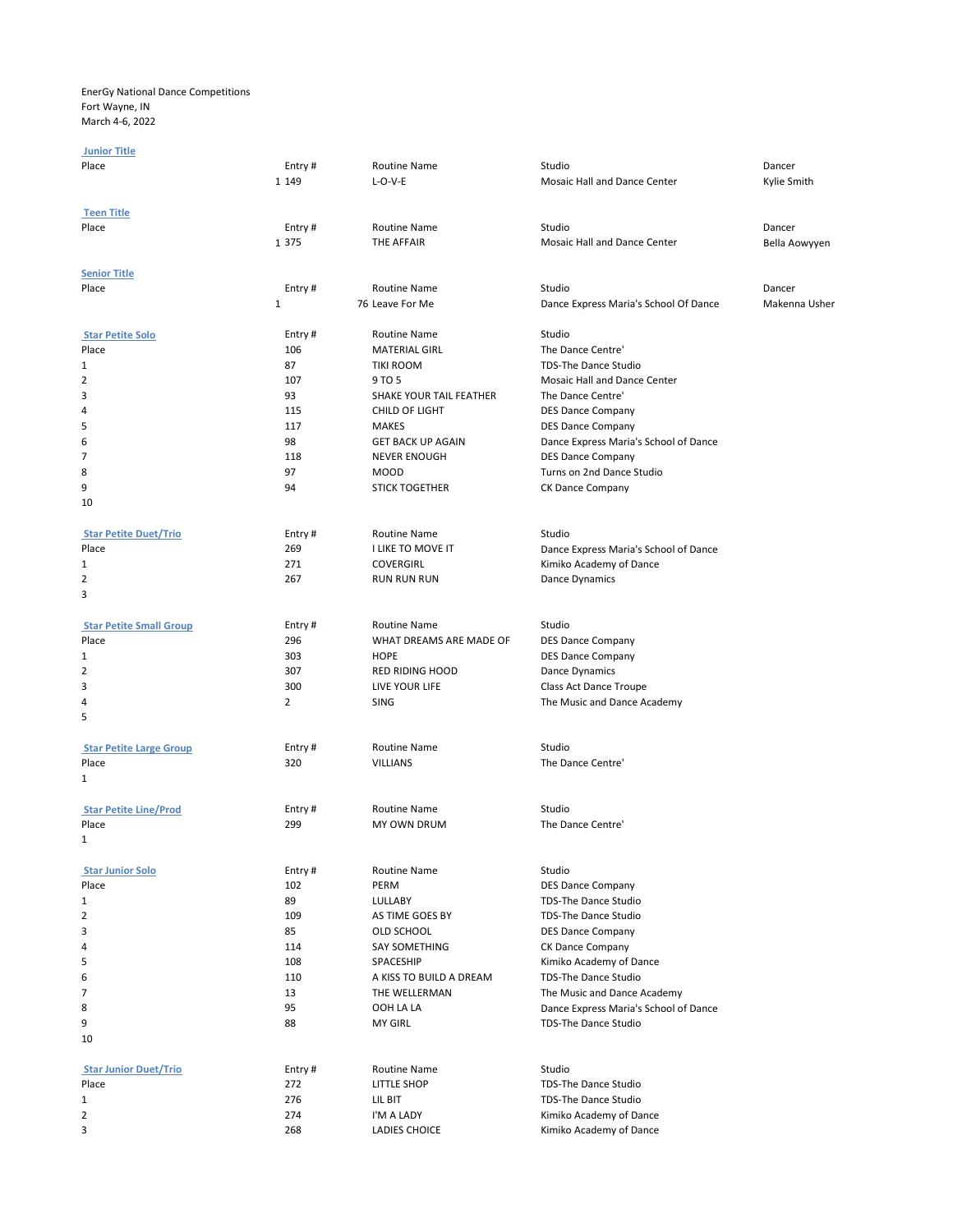EnerGy National Dance Competitions Fort Wayne, IN March 4-6, 2022

## Junior Title

| Place                          | Entry#            | Routine Name                             | Studio                                                | Dancer        |
|--------------------------------|-------------------|------------------------------------------|-------------------------------------------------------|---------------|
|                                | 1 1 4 9           | $L-O-V-E$                                | Mosaic Hall and Dance Center                          | Kylie Smith   |
|                                |                   |                                          |                                                       |               |
| <b>Teen Title</b>              |                   |                                          |                                                       |               |
| Place                          | Entry#<br>1 3 7 5 | <b>Routine Name</b><br><b>THE AFFAIR</b> | Studio<br>Mosaic Hall and Dance Center                | Dancer        |
|                                |                   |                                          |                                                       | Bella Aowyyen |
| <b>Senior Title</b>            |                   |                                          |                                                       |               |
| Place                          | Entry#            | <b>Routine Name</b>                      | Studio                                                | Dancer        |
|                                | 1                 | 76 Leave For Me                          | Dance Express Maria's School Of Dance                 | Makenna Usher |
|                                |                   |                                          |                                                       |               |
| <b>Star Petite Solo</b>        | Entry#            | Routine Name                             | Studio                                                |               |
| Place                          | 106               | <b>MATERIAL GIRL</b>                     | The Dance Centre'                                     |               |
| 1                              | 87                | <b>TIKI ROOM</b>                         | TDS-The Dance Studio                                  |               |
| 2                              | 107               | 9 TO 5                                   | Mosaic Hall and Dance Center                          |               |
| 3                              | 93                | SHAKE YOUR TAIL FEATHER                  | The Dance Centre'                                     |               |
| 4                              | 115               | CHILD OF LIGHT                           | <b>DES Dance Company</b>                              |               |
| 5                              | 117               | <b>MAKES</b>                             | <b>DES Dance Company</b>                              |               |
| 6<br>7                         | 98<br>118         | <b>GET BACK UP AGAIN</b>                 | Dance Express Maria's School of Dance                 |               |
|                                | 97                | <b>NEVER ENOUGH</b><br><b>MOOD</b>       | <b>DES Dance Company</b><br>Turns on 2nd Dance Studio |               |
| 8<br>9                         | 94                | <b>STICK TOGETHER</b>                    | CK Dance Company                                      |               |
| 10                             |                   |                                          |                                                       |               |
|                                |                   |                                          |                                                       |               |
| <b>Star Petite Duet/Trio</b>   | Entry#            | Routine Name                             | Studio                                                |               |
| Place                          | 269               | I LIKE TO MOVE IT                        | Dance Express Maria's School of Dance                 |               |
| 1                              | 271               | <b>COVERGIRL</b>                         | Kimiko Academy of Dance                               |               |
| 2                              | 267               | <b>RUN RUN RUN</b>                       | Dance Dynamics                                        |               |
| 3                              |                   |                                          |                                                       |               |
|                                |                   |                                          |                                                       |               |
| <b>Star Petite Small Group</b> | Entry#            | <b>Routine Name</b>                      | Studio                                                |               |
| Place                          | 296               | WHAT DREAMS ARE MADE OF                  | <b>DES Dance Company</b>                              |               |
| 1                              | 303               | <b>HOPE</b>                              | <b>DES Dance Company</b>                              |               |
| 2<br>3                         | 307<br>300        | <b>RED RIDING HOOD</b><br>LIVE YOUR LIFE | Dance Dynamics<br>Class Act Dance Troupe              |               |
| 4                              | $\overline{2}$    | SING                                     | The Music and Dance Academy                           |               |
| 5                              |                   |                                          |                                                       |               |
|                                |                   |                                          |                                                       |               |
| <b>Star Petite Large Group</b> | Entry#            | Routine Name                             | Studio                                                |               |
| Place                          | 320               | <b>VILLIANS</b>                          | The Dance Centre'                                     |               |
| 1                              |                   |                                          |                                                       |               |
|                                |                   |                                          |                                                       |               |
| <b>Star Petite Line/Prod</b>   | Entry#            | <b>Routine Name</b>                      | Studio                                                |               |
| Place<br>1                     | 299               | <b>MY OWN DRUM</b>                       | The Dance Centre'                                     |               |
|                                |                   |                                          |                                                       |               |
| <b>Star Junior Solo</b>        | Entry#            | Routine Name                             | Studio                                                |               |
| Place                          | 102               | PERM                                     | <b>DES Dance Company</b>                              |               |
| 1                              | 89                | <b>LULLABY</b>                           | TDS-The Dance Studio                                  |               |
| 2                              | 109               | AS TIME GOES BY                          | <b>TDS-The Dance Studio</b>                           |               |
| 3                              | 85                | OLD SCHOOL                               | <b>DES Dance Company</b>                              |               |
| 4                              | 114               | SAY SOMETHING                            | CK Dance Company                                      |               |
| 5                              | 108               | SPACESHIP                                | Kimiko Academy of Dance                               |               |
| 6                              | 110               | A KISS TO BUILD A DREAM                  | TDS-The Dance Studio                                  |               |
| 7                              | 13                | THE WELLERMAN                            | The Music and Dance Academy                           |               |
| 8                              | 95                | OOH LA LA                                | Dance Express Maria's School of Dance                 |               |
| 9                              | 88                | <b>MY GIRL</b>                           | TDS-The Dance Studio                                  |               |
| 10                             |                   |                                          |                                                       |               |
| <b>Star Junior Duet/Trio</b>   | Entry#            | Routine Name                             | Studio                                                |               |
| Place                          | 272               | LITTLE SHOP                              | TDS-The Dance Studio                                  |               |
| 1                              | 276               | LIL BIT                                  | TDS-The Dance Studio                                  |               |
| 2                              | 274               | I'M A LADY                               | Kimiko Academy of Dance                               |               |
| 3                              | 268               | LADIES CHOICE                            | Kimiko Academy of Dance                               |               |
|                                |                   |                                          |                                                       |               |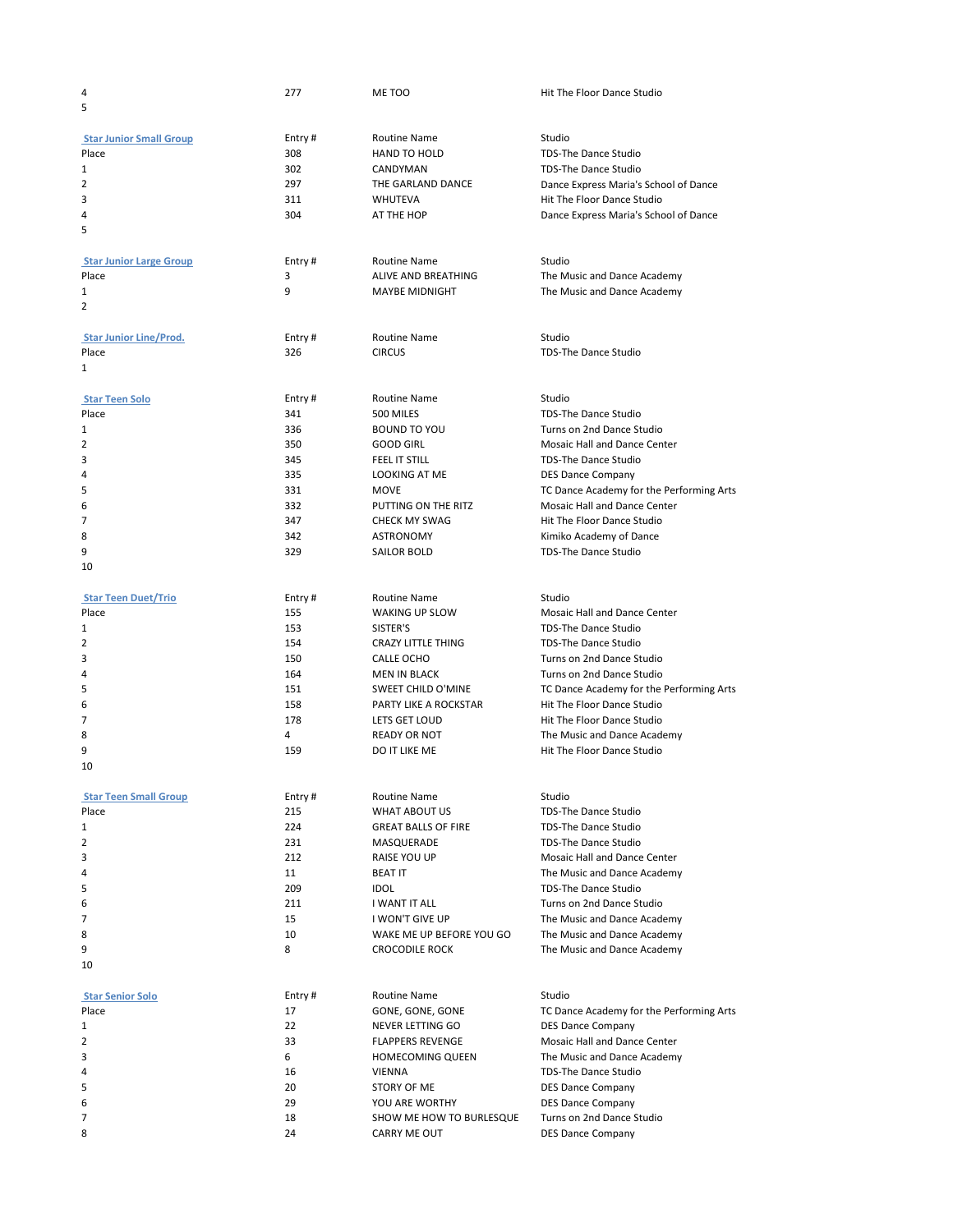| 4                              | 277           | ME TOO                        | Hit The Floor Dance Studio               |
|--------------------------------|---------------|-------------------------------|------------------------------------------|
| 5                              |               |                               |                                          |
|                                |               |                               |                                          |
| <b>Star Junior Small Group</b> | Entry#        | Routine Name                  | Studio                                   |
| Place                          | 308           | <b>HAND TO HOLD</b>           | <b>TDS-The Dance Studio</b>              |
| 1                              | 302           | CANDYMAN                      | TDS-The Dance Studio                     |
| 2                              | 297           | THE GARLAND DANCE             | Dance Express Maria's School of Dance    |
| 3                              | 311           | WHUTEVA                       | Hit The Floor Dance Studio               |
| 4                              | 304           | AT THE HOP                    | Dance Express Maria's School of Dance    |
| 5                              |               |                               |                                          |
|                                |               |                               |                                          |
| <b>Star Junior Large Group</b> | Entry#        | Routine Name                  | Studio                                   |
| Place                          | 3             | ALIVE AND BREATHING           | The Music and Dance Academy              |
| 1                              | 9             | MAYBE MIDNIGHT                | The Music and Dance Academy              |
| 2                              |               |                               |                                          |
|                                |               |                               |                                          |
| <b>Star Junior Line/Prod.</b>  | Entry#<br>326 | Routine Name<br><b>CIRCUS</b> | Studio<br>TDS-The Dance Studio           |
| Place<br>1                     |               |                               |                                          |
|                                |               |                               |                                          |
| <b>Star Teen Solo</b>          |               | Routine Name                  | Studio                                   |
| Place                          | Entry#<br>341 | 500 MILES                     | <b>TDS-The Dance Studio</b>              |
|                                | 336           | <b>BOUND TO YOU</b>           | Turns on 2nd Dance Studio                |
| 1                              |               |                               |                                          |
| 2                              | 350           | GOOD GIRL                     | <b>Mosaic Hall and Dance Center</b>      |
| 3                              | 345           | FEEL IT STILL                 | TDS-The Dance Studio                     |
| 4                              | 335           | LOOKING AT ME                 | <b>DES Dance Company</b>                 |
| 5                              | 331           | <b>MOVE</b>                   | TC Dance Academy for the Performing Arts |
| 6                              | 332           | PUTTING ON THE RITZ           | Mosaic Hall and Dance Center             |
| 7                              | 347           | <b>CHECK MY SWAG</b>          | Hit The Floor Dance Studio               |
| 8                              | 342           | ASTRONOMY                     | Kimiko Academy of Dance                  |
| 9                              | 329           | SAILOR BOLD                   | <b>TDS-The Dance Studio</b>              |
| 10                             |               |                               |                                          |
|                                |               |                               |                                          |
| <b>Star Teen Duet/Trio</b>     | Entry#        | Routine Name                  | Studio                                   |
| Place                          | 155           | WAKING UP SLOW                | Mosaic Hall and Dance Center             |
| 1                              | 153           | SISTER'S                      | <b>TDS-The Dance Studio</b>              |
| 2                              | 154           | CRAZY LITTLE THING            | TDS-The Dance Studio                     |
| 3                              | 150           | CALLE OCHO                    | Turns on 2nd Dance Studio                |
| 4                              | 164           | MEN IN BLACK                  | Turns on 2nd Dance Studio                |
| 5                              | 151           | SWEET CHILD O'MINE            | TC Dance Academy for the Performing Arts |
| 6                              | 158           | PARTY LIKE A ROCKSTAR         | Hit The Floor Dance Studio               |
| 7                              | 178           | <b>LETS GET LOUD</b>          | Hit The Floor Dance Studio               |
| 8                              | 4             | <b>READY OR NOT</b>           | The Music and Dance Academy              |
| 9                              | 159           | DO IT LIKE ME                 | Hit The Floor Dance Studio               |
| 10                             |               |                               |                                          |
|                                |               |                               |                                          |
| <b>Star Teen Small Group</b>   | Entry#        | Routine Name                  | Studio                                   |
| Place                          | 215           | WHAT ABOUT US                 | <b>TDS-The Dance Studio</b>              |
| 1                              | 224           | <b>GREAT BALLS OF FIRE</b>    | TDS-The Dance Studio                     |
| 2                              | 231           | MASQUERADE                    | TDS-The Dance Studio                     |
| 3                              | 212           | RAISE YOU UP                  | <b>Mosaic Hall and Dance Center</b>      |
| 4                              | 11            | <b>BEAT IT</b>                | The Music and Dance Academy              |
| 5                              | 209           | idol                          | <b>TDS-The Dance Studio</b>              |
| 6                              | 211           | I WANT IT ALL                 | Turns on 2nd Dance Studio                |
| 7                              | 15            | I WON'T GIVE UP               | The Music and Dance Academy              |
| 8                              | 10            | WAKE ME UP BEFORE YOU GO      | The Music and Dance Academy              |
| 9                              | 8             | <b>CROCODILE ROCK</b>         | The Music and Dance Academy              |
| 10                             |               |                               |                                          |
|                                |               |                               |                                          |
| <b>Star Senior Solo</b>        | Entry#        | Routine Name                  | Studio                                   |
| Place                          | 17            | GONE, GONE, GONE              | TC Dance Academy for the Performing Arts |
| 1                              | 22            | NEVER LETTING GO              | <b>DES Dance Company</b>                 |
| 2                              | 33            | <b>FLAPPERS REVENGE</b>       | Mosaic Hall and Dance Center             |
| 3                              | 6             | <b>HOMECOMING QUEEN</b>       | The Music and Dance Academy              |
| 4                              | 16            | VIENNA                        | TDS-The Dance Studio                     |
| 5                              | 20            | STORY OF ME                   | <b>DES Dance Company</b>                 |
| 6                              | 29            | YOU ARE WORTHY                | <b>DES Dance Company</b>                 |
| 7                              | 18            | SHOW ME HOW TO BURLESQUE      | Turns on 2nd Dance Studio                |
| 8                              | 24            | CARRY ME OUT                  | <b>DES Dance Company</b>                 |
|                                |               |                               |                                          |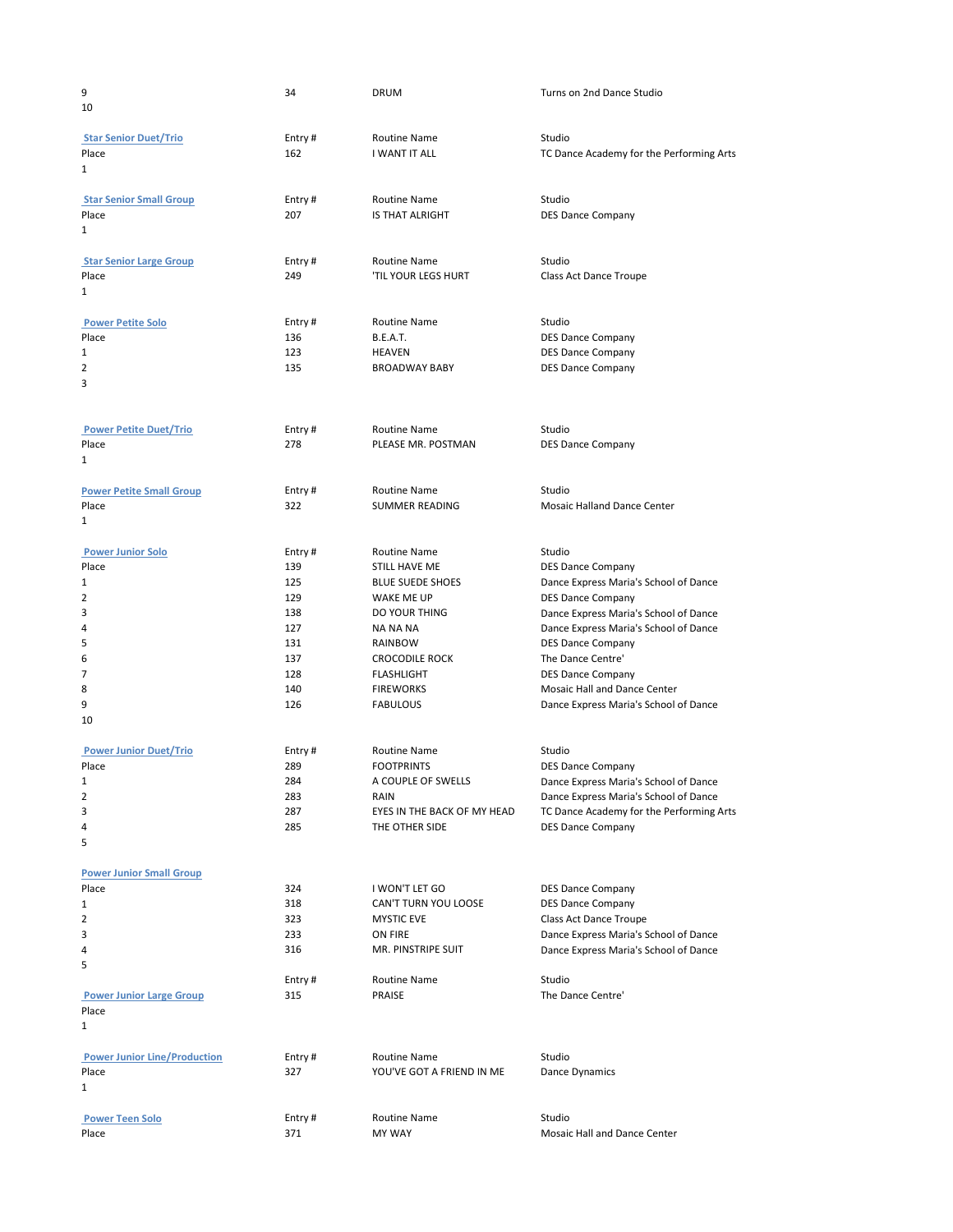| 9<br>10                                                                                                       | 34                                                                           | DRUM                                                                                                                                                                                                       | Turns on 2nd Dance Studio                                                                                                                                                                                                                                                                                                                       |
|---------------------------------------------------------------------------------------------------------------|------------------------------------------------------------------------------|------------------------------------------------------------------------------------------------------------------------------------------------------------------------------------------------------------|-------------------------------------------------------------------------------------------------------------------------------------------------------------------------------------------------------------------------------------------------------------------------------------------------------------------------------------------------|
| <b>Star Senior Duet/Trio</b><br>Place<br>1                                                                    | Entry#<br>162                                                                | Routine Name<br>I WANT IT ALL                                                                                                                                                                              | Studio<br>TC Dance Academy for the Performing Arts                                                                                                                                                                                                                                                                                              |
| <b>Star Senior Small Group</b><br>Place<br>1                                                                  | Entry#<br>207                                                                | <b>Routine Name</b><br>IS THAT ALRIGHT                                                                                                                                                                     | Studio<br><b>DES Dance Company</b>                                                                                                                                                                                                                                                                                                              |
| <b>Star Senior Large Group</b><br>Place<br>$\mathbf{1}$                                                       | Entry#<br>249                                                                | Routine Name<br><b>'TIL YOUR LEGS HURT</b>                                                                                                                                                                 | Studio<br>Class Act Dance Troupe                                                                                                                                                                                                                                                                                                                |
| <b>Power Petite Solo</b><br>Place<br>1<br>2<br>3                                                              | Entry#<br>136<br>123<br>135                                                  | Routine Name<br><b>B.E.A.T.</b><br>HEAVEN<br><b>BROADWAY BABY</b>                                                                                                                                          | Studio<br><b>DES Dance Company</b><br><b>DES Dance Company</b><br><b>DES Dance Company</b>                                                                                                                                                                                                                                                      |
| <b>Power Petite Duet/Trio</b><br>Place<br>$\mathbf{1}$                                                        | Entry#<br>278                                                                | Routine Name<br>PLEASE MR. POSTMAN                                                                                                                                                                         | Studio<br><b>DES Dance Company</b>                                                                                                                                                                                                                                                                                                              |
| <b>Power Petite Small Group</b><br>Place<br>1                                                                 | Entry#<br>322                                                                | Routine Name<br>SUMMER READING                                                                                                                                                                             | Studio<br><b>Mosaic Halland Dance Center</b>                                                                                                                                                                                                                                                                                                    |
| <b>Power Junior Solo</b><br>Place<br>1<br>2<br>3<br>4<br>5<br>6<br>7<br>8<br>9<br>10                          | Entry#<br>139<br>125<br>129<br>138<br>127<br>131<br>137<br>128<br>140<br>126 | Routine Name<br>STILL HAVE ME<br><b>BLUE SUEDE SHOES</b><br>WAKE ME UP<br>DO YOUR THING<br><b>NA NA NA</b><br>RAINBOW<br><b>CROCODILE ROCK</b><br><b>FLASHLIGHT</b><br><b>FIREWORKS</b><br><b>FABULOUS</b> | Studio<br><b>DES Dance Company</b><br>Dance Express Maria's School of Dance<br><b>DES Dance Company</b><br>Dance Express Maria's School of Dance<br>Dance Express Maria's School of Dance<br><b>DES Dance Company</b><br>The Dance Centre'<br><b>DES Dance Company</b><br>Mosaic Hall and Dance Center<br>Dance Express Maria's School of Dance |
| <b>Power Junior Duet/Trio</b><br>Place<br>1<br>2<br>3<br>4<br>5                                               | Entry#<br>289<br>284<br>283<br>287<br>285                                    | Routine Name<br><b>FOOTPRINTS</b><br>A COUPLE OF SWELLS<br>RAIN<br>EYES IN THE BACK OF MY HEAD<br>THE OTHER SIDE                                                                                           | Studio<br><b>DES Dance Company</b><br>Dance Express Maria's School of Dance<br>Dance Express Maria's School of Dance<br>TC Dance Academy for the Performing Arts<br><b>DES Dance Company</b>                                                                                                                                                    |
| <b>Power Junior Small Group</b><br>Place<br>1<br>2<br>3<br>4<br>5<br><b>Power Junior Large Group</b><br>Place | 324<br>318<br>323<br>233<br>316<br>Entry#<br>315                             | I WON'T LET GO<br>CAN'T TURN YOU LOOSE<br><b>MYSTIC EVE</b><br>ON FIRE<br>MR. PINSTRIPE SUIT<br>Routine Name<br>PRAISE                                                                                     | <b>DES Dance Company</b><br><b>DES Dance Company</b><br>Class Act Dance Troupe<br>Dance Express Maria's School of Dance<br>Dance Express Maria's School of Dance<br>Studio<br>The Dance Centre'                                                                                                                                                 |
| $\mathbf{1}$<br><b>Power Junior Line/Production</b><br>Place<br>1                                             | Entry#<br>327                                                                | Routine Name<br>YOU'VE GOT A FRIEND IN ME                                                                                                                                                                  | Studio<br>Dance Dynamics                                                                                                                                                                                                                                                                                                                        |
| <b>Power Teen Solo</b><br>Place                                                                               | Entry#<br>371                                                                | Routine Name<br>MY WAY                                                                                                                                                                                     | Studio<br>Mosaic Hall and Dance Center                                                                                                                                                                                                                                                                                                          |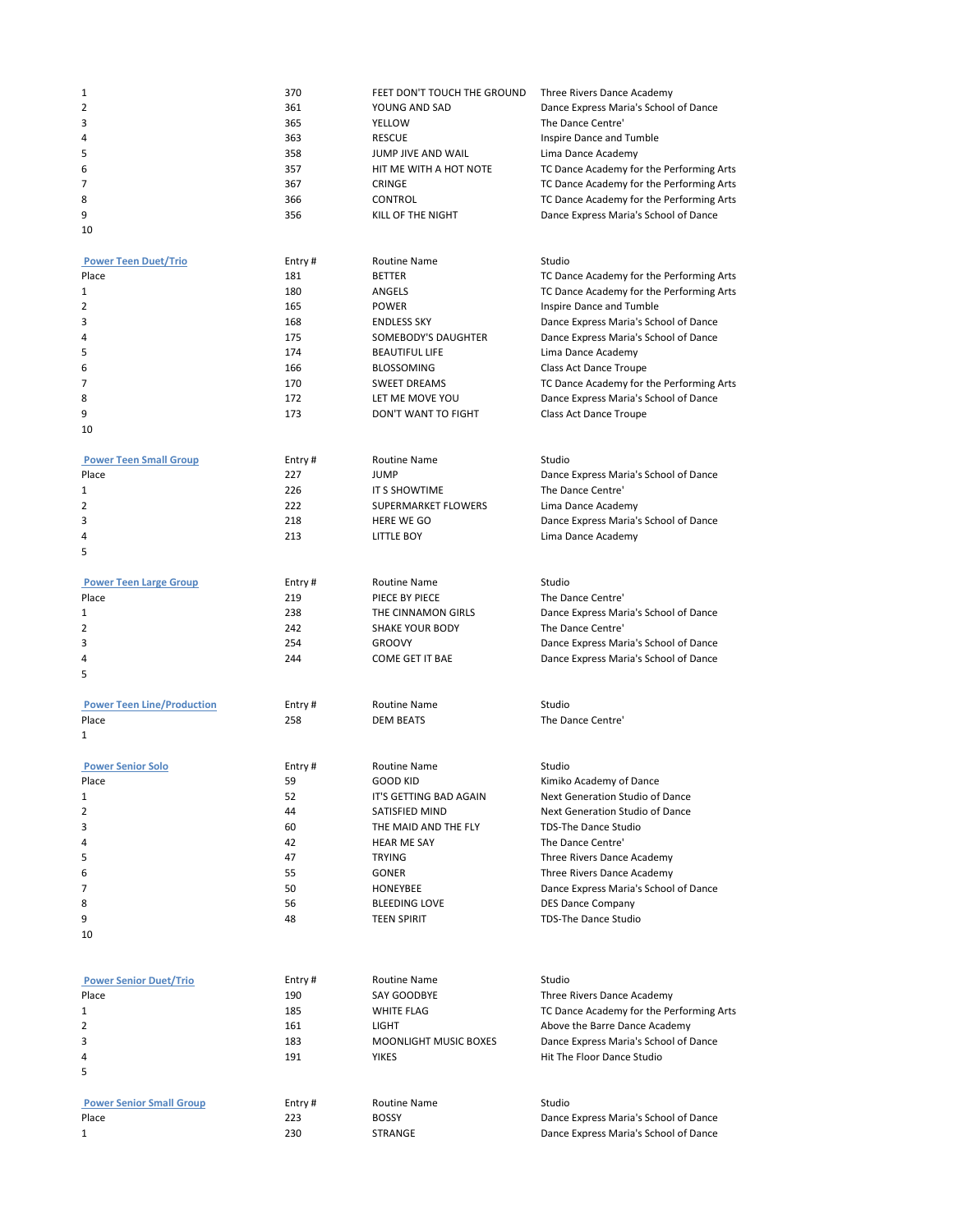| 1                                 | 370    | FEET DON'T TOUCH THE GROUND  | Three Rivers Dance Academy               |
|-----------------------------------|--------|------------------------------|------------------------------------------|
| 2                                 | 361    | YOUNG AND SAD                | Dance Express Maria's School of Dance    |
| 3                                 | 365    | YELLOW                       | The Dance Centre'                        |
| 4                                 | 363    | <b>RESCUE</b>                | Inspire Dance and Tumble                 |
| 5                                 | 358    | JUMP JIVE AND WAIL           | Lima Dance Academy                       |
| 6                                 | 357    | HIT ME WITH A HOT NOTE       | TC Dance Academy for the Performing Arts |
| 7                                 | 367    | CRINGE                       | TC Dance Academy for the Performing Arts |
| 8                                 | 366    | CONTROL                      | TC Dance Academy for the Performing Arts |
| 9                                 | 356    | KILL OF THE NIGHT            | Dance Express Maria's School of Dance    |
| 10                                |        |                              |                                          |
|                                   |        |                              |                                          |
| <b>Power Teen Duet/Trio</b>       | Entry# | <b>Routine Name</b>          | Studio                                   |
| Place                             | 181    | <b>BETTER</b>                | TC Dance Academy for the Performing Arts |
| 1                                 | 180    | <b>ANGELS</b>                | TC Dance Academy for the Performing Arts |
| 2                                 | 165    | <b>POWER</b>                 | Inspire Dance and Tumble                 |
| 3                                 | 168    | <b>ENDLESS SKY</b>           | Dance Express Maria's School of Dance    |
| 4                                 | 175    | SOMEBODY'S DAUGHTER          | Dance Express Maria's School of Dance    |
| 5                                 | 174    | <b>BEAUTIFUL LIFE</b>        | Lima Dance Academy                       |
| 6                                 | 166    | <b>BLOSSOMING</b>            | Class Act Dance Troupe                   |
| 7                                 | 170    | <b>SWEET DREAMS</b>          | TC Dance Academy for the Performing Arts |
| 8                                 | 172    | LET ME MOVE YOU              | Dance Express Maria's School of Dance    |
| 9                                 | 173    | DON'T WANT TO FIGHT          | Class Act Dance Troupe                   |
| 10                                |        |                              |                                          |
|                                   |        |                              |                                          |
| <b>Power Teen Small Group</b>     | Entry# | <b>Routine Name</b>          | Studio                                   |
| Place                             | 227    | <b>JUMP</b>                  | Dance Express Maria's School of Dance    |
| 1                                 | 226    | IT S SHOWTIME                | The Dance Centre'                        |
| 2                                 | 222    | SUPERMARKET FLOWERS          | Lima Dance Academy                       |
| 3                                 | 218    | <b>HERE WE GO</b>            | Dance Express Maria's School of Dance    |
| 4                                 | 213    | LITTLE BOY                   | Lima Dance Academy                       |
| 5                                 |        |                              |                                          |
| <b>Power Teen Large Group</b>     | Entry# | Routine Name                 | Studio                                   |
| Place                             | 219    | PIECE BY PIECE               | The Dance Centre'                        |
| 1                                 | 238    | THE CINNAMON GIRLS           | Dance Express Maria's School of Dance    |
| 2                                 | 242    | <b>SHAKE YOUR BODY</b>       | The Dance Centre'                        |
| 3                                 | 254    | <b>GROOVY</b>                | Dance Express Maria's School of Dance    |
| 4                                 | 244    | <b>COME GET IT BAE</b>       | Dance Express Maria's School of Dance    |
| 5                                 |        |                              |                                          |
|                                   |        |                              |                                          |
| <b>Power Teen Line/Production</b> | Entry# | <b>Routine Name</b>          | Studio                                   |
| Place                             | 258    | DEM BEATS                    | The Dance Centre'                        |
| 1                                 |        |                              |                                          |
|                                   |        |                              |                                          |
| <b>Power Senior Solo</b>          | Entry# | <b>Routine Name</b>          | Studio                                   |
| Place                             | 59     | <b>GOOD KID</b>              | Kimiko Academy of Dance                  |
| 1                                 | 52     | IT'S GETTING BAD AGAIN       | Next Generation Studio of Dance          |
| 2                                 | 44     | SATISFIED MIND               | Next Generation Studio of Dance          |
| 3                                 | 60     | THE MAID AND THE FLY         | TDS-The Dance Studio                     |
| 4                                 | 42     | <b>HEAR ME SAY</b>           | The Dance Centre'                        |
| 5                                 | 47     | <b>TRYING</b>                | Three Rivers Dance Academy               |
| 6                                 | 55     | <b>GONER</b>                 | Three Rivers Dance Academy               |
| 7                                 | 50     | HONEYBEE                     | Dance Express Maria's School of Dance    |
| 8                                 | 56     | <b>BLEEDING LOVE</b>         | <b>DES Dance Company</b>                 |
| 9                                 | 48     | <b>TEEN SPIRIT</b>           | <b>TDS-The Dance Studio</b>              |
| 10                                |        |                              |                                          |
|                                   |        |                              |                                          |
|                                   |        |                              |                                          |
| <b>Power Senior Duet/Trio</b>     | Entry# | <b>Routine Name</b>          | Studio                                   |
| Place                             | 190    | SAY GOODBYE                  | Three Rivers Dance Academy               |
| 1                                 | 185    | <b>WHITE FLAG</b>            | TC Dance Academy for the Performing Arts |
| 2                                 | 161    | LIGHT                        | Above the Barre Dance Academy            |
| 3                                 | 183    | <b>MOONLIGHT MUSIC BOXES</b> | Dance Express Maria's School of Dance    |
| 4                                 | 191    | <b>YIKES</b>                 | Hit The Floor Dance Studio               |
| 5                                 |        |                              |                                          |
| <b>Power Senior Small Group</b>   | Entry# | Routine Name                 | Studio                                   |
| Place                             | 223    | <b>BOSSY</b>                 | Dance Express Maria's School of Dance    |
| 1                                 | 230    | STRANGE                      | Dance Express Maria's School of Dance    |
|                                   |        |                              |                                          |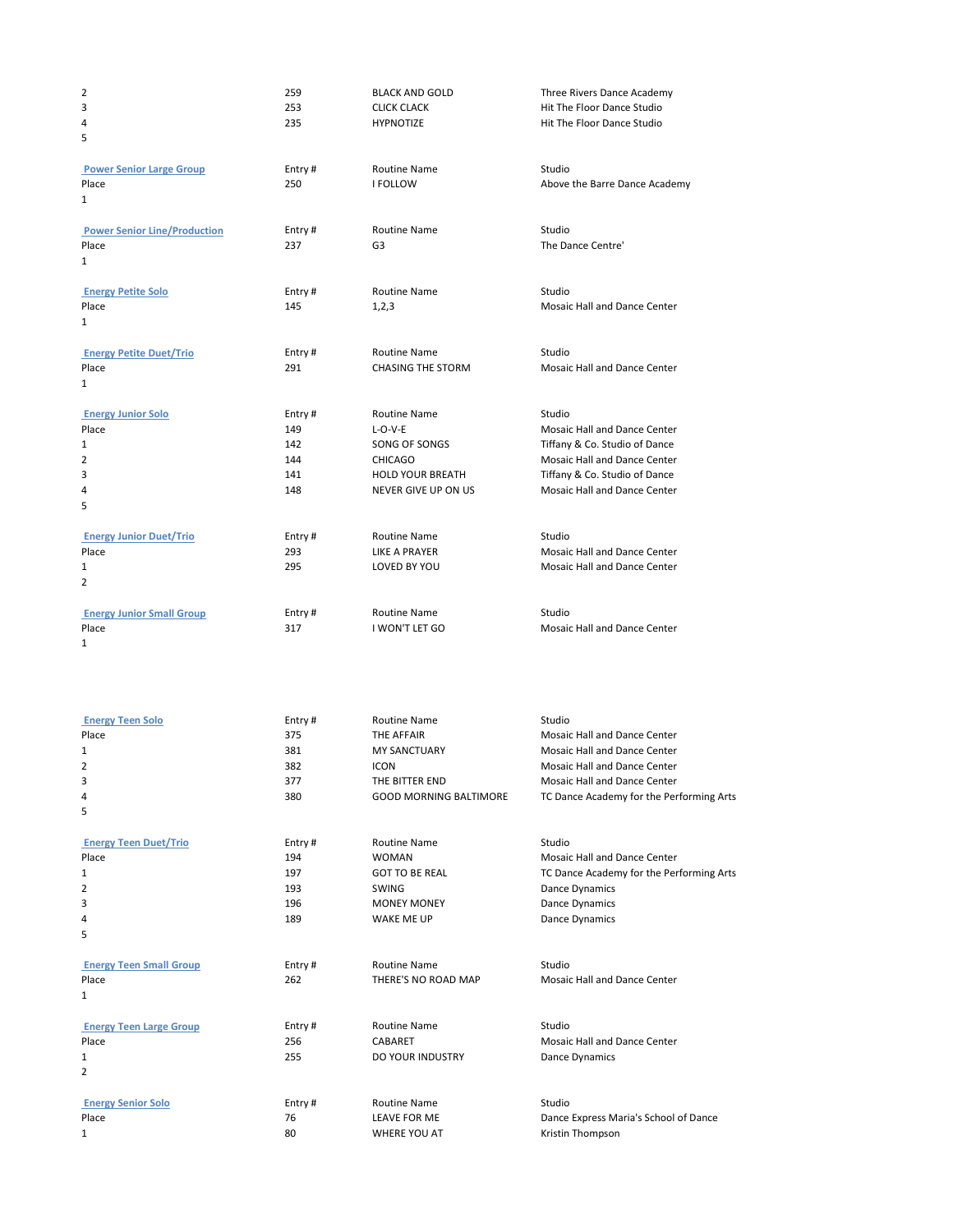| 2<br>3                                  | 259<br>253    | <b>BLACK AND GOLD</b><br><b>CLICK CLACK</b> | Three Rivers Dance Academy<br>Hit The Floor Dance Studio     |
|-----------------------------------------|---------------|---------------------------------------------|--------------------------------------------------------------|
| 4                                       | 235           | <b>HYPNOTIZE</b>                            | Hit The Floor Dance Studio                                   |
| 5                                       |               |                                             |                                                              |
|                                         |               |                                             |                                                              |
| <b>Power Senior Large Group</b>         | Entry#        | Routine Name                                | Studio                                                       |
| Place                                   | 250           | <b>I FOLLOW</b>                             | Above the Barre Dance Academy                                |
| 1                                       |               |                                             |                                                              |
| <b>Power Senior Line/Production</b>     | Entry#        | <b>Routine Name</b>                         | Studio                                                       |
| Place                                   | 237           | G3                                          | The Dance Centre'                                            |
| 1                                       |               |                                             |                                                              |
|                                         |               |                                             |                                                              |
| <b>Energy Petite Solo</b>               | Entry#        | <b>Routine Name</b>                         | Studio                                                       |
| Place<br>1                              | 145           | 1,2,3                                       | Mosaic Hall and Dance Center                                 |
|                                         |               |                                             |                                                              |
| <b>Energy Petite Duet/Trio</b>          | Entry#        | Routine Name                                | Studio                                                       |
| Place                                   | 291           | <b>CHASING THE STORM</b>                    | Mosaic Hall and Dance Center                                 |
| 1                                       |               |                                             |                                                              |
| <b>Energy Junior Solo</b>               | Entry#        | Routine Name                                | Studio                                                       |
| Place                                   | 149           | $L-O-V-E$                                   | Mosaic Hall and Dance Center                                 |
| 1                                       | 142           | SONG OF SONGS                               | Tiffany & Co. Studio of Dance                                |
| 2                                       | 144           | <b>CHICAGO</b>                              | Mosaic Hall and Dance Center                                 |
| 3                                       | 141           | <b>HOLD YOUR BREATH</b>                     | Tiffany & Co. Studio of Dance                                |
| 4                                       | 148           | NEVER GIVE UP ON US                         | Mosaic Hall and Dance Center                                 |
| 5                                       |               |                                             |                                                              |
|                                         |               |                                             |                                                              |
| <b>Energy Junior Duet/Trio</b>          | Entry#        | Routine Name                                | Studio                                                       |
| Place                                   | 293<br>295    | LIKE A PRAYER<br>LOVED BY YOU               | Mosaic Hall and Dance Center<br>Mosaic Hall and Dance Center |
| 1<br>2                                  |               |                                             |                                                              |
|                                         |               |                                             |                                                              |
| <b>Energy Junior Small Group</b>        | Entry#        | Routine Name                                | Studio                                                       |
| Place                                   | 317           | I WON'T LET GO                              | Mosaic Hall and Dance Center                                 |
| 1                                       |               |                                             |                                                              |
|                                         |               |                                             |                                                              |
|                                         |               |                                             |                                                              |
|                                         |               |                                             |                                                              |
| <b>Energy Teen Solo</b>                 | Entry #       | Routine Name                                | Studio                                                       |
| Place                                   | 375           | THE AFFAIR                                  | Mosaic Hall and Dance Center                                 |
| 1                                       | 381           | <b>MY SANCTUARY</b>                         | Mosaic Hall and Dance Center                                 |
| 2                                       | 382           | <b>ICON</b>                                 | Mosaic Hall and Dance Center                                 |
| 3                                       | 377           | THE BITTER END                              | Mosaic Hall and Dance Center                                 |
| 4                                       | 380           | <b>GOOD MORNING BALTIMORE</b>               | TC Dance Academy for the Performing Arts                     |
| 5                                       |               |                                             |                                                              |
| <b>Energy Teen Duet/Trio</b>            | Entry#        | Routine Name                                | Studio                                                       |
| Place                                   | 194           | <b>WOMAN</b>                                | Mosaic Hall and Dance Center                                 |
| 1                                       | 197           | <b>GOT TO BE REAL</b>                       | TC Dance Academy for the Performing Arts                     |
| 2                                       | 193           | SWING                                       | Dance Dynamics                                               |
| 3                                       | 196           | <b>MONEY MONEY</b>                          | Dance Dynamics                                               |
| 4                                       | 189           | <b>WAKE ME UP</b>                           | Dance Dynamics                                               |
| 5                                       |               |                                             |                                                              |
|                                         |               | Routine Name                                |                                                              |
| <b>Energy Teen Small Group</b><br>Place | Entry#<br>262 | THERE'S NO ROAD MAP                         | Studio<br>Mosaic Hall and Dance Center                       |
| 1                                       |               |                                             |                                                              |
|                                         |               |                                             |                                                              |
| <b>Energy Teen Large Group</b>          | Entry#        | Routine Name                                | Studio                                                       |
| Place                                   | 256           | CABARET                                     | Mosaic Hall and Dance Center                                 |
| 1                                       | 255           | DO YOUR INDUSTRY                            | Dance Dynamics                                               |
| 2                                       |               |                                             |                                                              |
| <b>Energy Senior Solo</b>               |               | Routine Name                                | Studio                                                       |
| Place                                   | Entry#<br>76  | LEAVE FOR ME                                | Dance Express Maria's School of Dance                        |
| 1                                       | 80            | WHERE YOU AT                                | Kristin Thompson                                             |
|                                         |               |                                             |                                                              |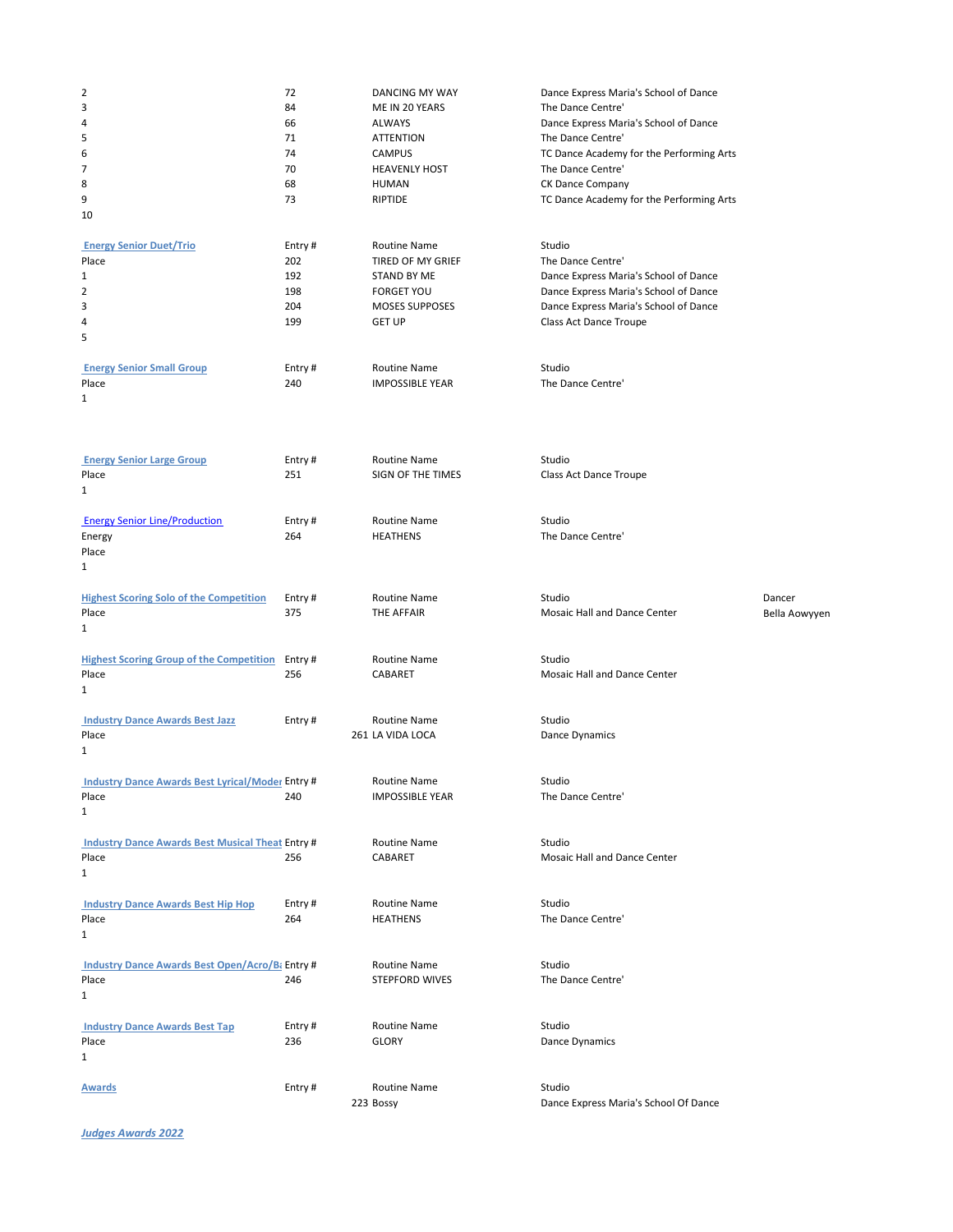| $\overline{2}$                                          | 72            | DANCING MY WAY                         | Dance Express Maria's School of Dance           |               |
|---------------------------------------------------------|---------------|----------------------------------------|-------------------------------------------------|---------------|
| 3                                                       | 84            | ME IN 20 YEARS                         | The Dance Centre'                               |               |
| 4                                                       | 66            | <b>ALWAYS</b>                          | Dance Express Maria's School of Dance           |               |
| 5                                                       | 71            | <b>ATTENTION</b>                       | The Dance Centre'                               |               |
| 6                                                       | 74<br>70      | <b>CAMPUS</b>                          | TC Dance Academy for the Performing Arts        |               |
| 7<br>8                                                  | 68            | <b>HEAVENLY HOST</b><br><b>HUMAN</b>   | The Dance Centre'<br>CK Dance Company           |               |
| 9                                                       | 73            | RIPTIDE                                | TC Dance Academy for the Performing Arts        |               |
| 10                                                      |               |                                        |                                                 |               |
|                                                         |               |                                        |                                                 |               |
| <b>Energy Senior Duet/Trio</b>                          | Entry#        | Routine Name                           | Studio                                          |               |
| Place                                                   | 202           | TIRED OF MY GRIEF                      | The Dance Centre'                               |               |
| $\mathbf{1}$                                            | 192           | <b>STAND BY ME</b>                     | Dance Express Maria's School of Dance           |               |
| 2                                                       | 198           | <b>FORGET YOU</b>                      | Dance Express Maria's School of Dance           |               |
| 3                                                       | 204           | <b>MOSES SUPPOSES</b>                  | Dance Express Maria's School of Dance           |               |
| 4<br>5                                                  | 199           | <b>GET UP</b>                          | Class Act Dance Troupe                          |               |
|                                                         |               |                                        |                                                 |               |
| <b>Energy Senior Small Group</b>                        | Entry#        | Routine Name                           | Studio                                          |               |
| Place                                                   | 240           | <b>IMPOSSIBLE YEAR</b>                 | The Dance Centre'                               |               |
| $\mathbf{1}$                                            |               |                                        |                                                 |               |
|                                                         |               |                                        |                                                 |               |
|                                                         |               |                                        |                                                 |               |
| <b>Energy Senior Large Group</b>                        | Entry#        | Routine Name                           | Studio                                          |               |
| Place                                                   | 251           | SIGN OF THE TIMES                      | Class Act Dance Troupe                          |               |
| $\mathbf{1}$                                            |               |                                        |                                                 |               |
|                                                         |               |                                        |                                                 |               |
| <b>Energy Senior Line/Production</b>                    | Entry#        | Routine Name                           | Studio                                          |               |
| Energy                                                  | 264           | <b>HEATHENS</b>                        | The Dance Centre'                               |               |
| Place                                                   |               |                                        |                                                 |               |
| $\mathbf{1}$                                            |               |                                        |                                                 |               |
|                                                         |               |                                        | Studio                                          |               |
| <b>Highest Scoring Solo of the Competition</b><br>Place | Entry#<br>375 | Routine Name<br>THE AFFAIR             | Mosaic Hall and Dance Center                    | Dancer        |
| 1                                                       |               |                                        |                                                 | Bella Aowyyen |
|                                                         |               |                                        |                                                 |               |
|                                                         |               |                                        |                                                 |               |
| <b>Highest Scoring Group of the Competition</b> Entry # |               | Routine Name                           | Studio                                          |               |
| Place                                                   | 256           | CABARET                                | Mosaic Hall and Dance Center                    |               |
| $\mathbf{1}$                                            |               |                                        |                                                 |               |
|                                                         |               |                                        |                                                 |               |
| <b>Industry Dance Awards Best Jazz</b>                  | Entry#        | Routine Name                           | Studio                                          |               |
| Place                                                   |               | 261 LA VIDA LOCA                       | Dance Dynamics                                  |               |
| $\mathbf{1}$                                            |               |                                        |                                                 |               |
| <b>Industry Dance Awards Best Lyrical/Moder Entry #</b> |               |                                        | Studio                                          |               |
| Place                                                   | 240           | Routine Name<br><b>IMPOSSIBLE YEAR</b> | The Dance Centre'                               |               |
| 1                                                       |               |                                        |                                                 |               |
|                                                         |               |                                        |                                                 |               |
| <b>Industry Dance Awards Best Musical Theat Entry #</b> |               | <b>Routine Name</b>                    | Studio                                          |               |
| Place                                                   | 256           | CABARET                                | Mosaic Hall and Dance Center                    |               |
| $\mathbf{1}$                                            |               |                                        |                                                 |               |
|                                                         |               |                                        |                                                 |               |
| <b>Industry Dance Awards Best Hip Hop</b>               | Entry#        | <b>Routine Name</b>                    | Studio                                          |               |
| Place                                                   | 264           | <b>HEATHENS</b>                        | The Dance Centre'                               |               |
| $\mathbf{1}$                                            |               |                                        |                                                 |               |
| <b>Industry Dance Awards Best Open/Acro/B</b> Entry #   |               | Routine Name                           | Studio                                          |               |
| Place                                                   | 246           | <b>STEPFORD WIVES</b>                  | The Dance Centre'                               |               |
| $\mathbf{1}$                                            |               |                                        |                                                 |               |
|                                                         |               |                                        |                                                 |               |
| <b>Industry Dance Awards Best Tap</b>                   | Entry#        | Routine Name                           | Studio                                          |               |
| Place                                                   | 236           | <b>GLORY</b>                           | Dance Dynamics                                  |               |
| $\mathbf{1}$                                            |               |                                        |                                                 |               |
|                                                         |               | <b>Routine Name</b>                    |                                                 |               |
| <b>Awards</b>                                           | Entry#        | 223 Bossy                              | Studio<br>Dance Express Maria's School Of Dance |               |
|                                                         |               |                                        |                                                 |               |